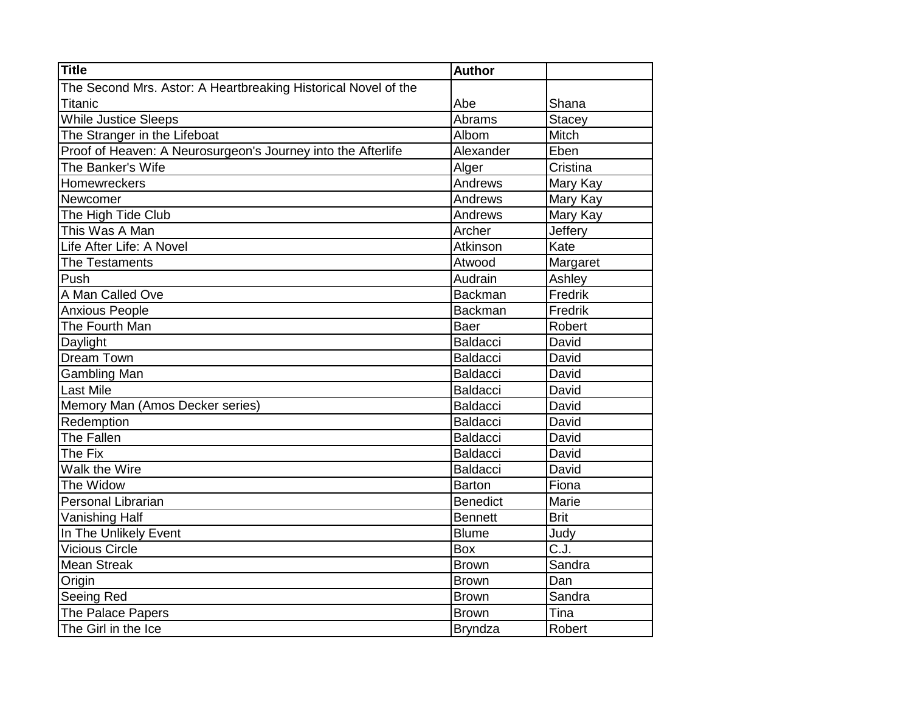| <b>Title</b>                                                   | <b>Author</b>   |               |
|----------------------------------------------------------------|-----------------|---------------|
| The Second Mrs. Astor: A Heartbreaking Historical Novel of the |                 |               |
| <b>Titanic</b>                                                 | Abe             | Shana         |
| While Justice Sleeps                                           | Abrams          | <b>Stacey</b> |
| The Stranger in the Lifeboat                                   | Albom           | Mitch         |
| Proof of Heaven: A Neurosurgeon's Journey into the Afterlife   | Alexander       | Eben          |
| The Banker's Wife                                              | Alger           | Cristina      |
| Homewreckers                                                   | Andrews         | Mary Kay      |
| Newcomer                                                       | Andrews         | Mary Kay      |
| The High Tide Club                                             | Andrews         | Mary Kay      |
| This Was A Man                                                 | Archer          | Jeffery       |
| Life After Life: A Novel                                       | Atkinson        | Kate          |
| The Testaments                                                 | Atwood          | Margaret      |
| Push                                                           | Audrain         | Ashley        |
| A Man Called Ove                                               | <b>Backman</b>  | Fredrik       |
| <b>Anxious People</b>                                          | <b>Backman</b>  | Fredrik       |
| The Fourth Man                                                 | Baer            | Robert        |
| Daylight                                                       | Baldacci        | David         |
| Dream Town                                                     | <b>Baldacci</b> | David         |
| Gambling Man                                                   | <b>Baldacci</b> | David         |
| <b>Last Mile</b>                                               | <b>Baldacci</b> | David         |
| Memory Man (Amos Decker series)                                | <b>Baldacci</b> | David         |
| Redemption                                                     | <b>Baldacci</b> | David         |
| <b>The Fallen</b>                                              | <b>Baldacci</b> | David         |
| The Fix                                                        | <b>Baldacci</b> | David         |
| Walk the Wire                                                  | <b>Baldacci</b> | David         |
| The Widow                                                      | <b>Barton</b>   | Fiona         |
| Personal Librarian                                             | <b>Benedict</b> | Marie         |
| <b>Vanishing Half</b>                                          | <b>Bennett</b>  | <b>Brit</b>   |
| In The Unlikely Event                                          | <b>Blume</b>    | Judy          |
| <b>Vicious Circle</b>                                          | Box             | C.J.          |
| <b>Mean Streak</b>                                             | <b>Brown</b>    | Sandra        |
| Origin                                                         | <b>Brown</b>    | Dan           |
| Seeing Red                                                     | <b>Brown</b>    | Sandra        |
| The Palace Papers                                              | Brown           | Tina          |
| The Girl in the Ice                                            | <b>Bryndza</b>  | Robert        |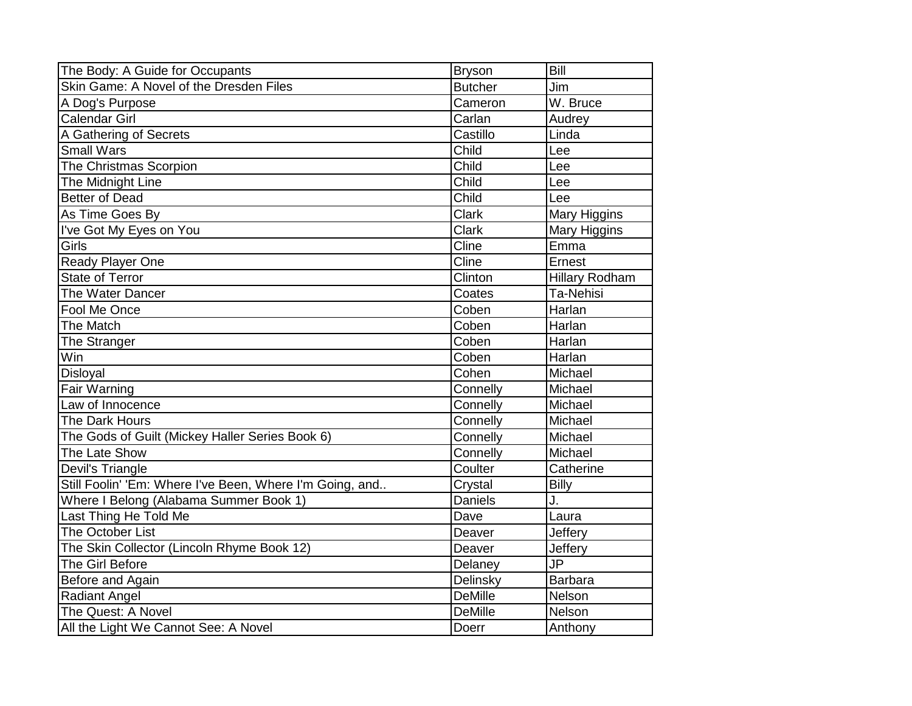| The Body: A Guide for Occupants                          | <b>Bryson</b>  | <b>Bill</b>           |
|----------------------------------------------------------|----------------|-----------------------|
| Skin Game: A Novel of the Dresden Files                  | <b>Butcher</b> | Jim                   |
| A Dog's Purpose                                          | Cameron        | W. Bruce              |
| Calendar Girl                                            | Carlan         | Audrey                |
| A Gathering of Secrets                                   | Castillo       | Linda                 |
| <b>Small Wars</b>                                        | Child          | Lee                   |
| The Christmas Scorpion                                   | Child          | Lee                   |
| The Midnight Line                                        | Child          | Lee                   |
| <b>Better of Dead</b>                                    | Child          | Lee                   |
| As Time Goes By                                          | <b>Clark</b>   | Mary Higgins          |
| I've Got My Eyes on You                                  | <b>Clark</b>   | Mary Higgins          |
| Girls                                                    | Cline          | Emma                  |
| <b>Ready Player One</b>                                  | Cline          | Ernest                |
| State of Terror                                          | Clinton        | <b>Hillary Rodham</b> |
| The Water Dancer                                         | Coates         | Ta-Nehisi             |
| Fool Me Once                                             | Coben          | Harlan                |
| The Match                                                | Coben          | Harlan                |
| The Stranger                                             | Coben          | Harlan                |
| Win                                                      | Coben          | Harlan                |
| Disloyal                                                 | Cohen          | Michael               |
| <b>Fair Warning</b>                                      | Connelly       | Michael               |
| Law of Innocence                                         | Connelly       | Michael               |
| The Dark Hours                                           | Connelly       | Michael               |
| The Gods of Guilt (Mickey Haller Series Book 6)          | Connelly       | Michael               |
| The Late Show                                            | Connelly       | Michael               |
| Devil's Triangle                                         | Coulter        | Catherine             |
| Still Foolin' 'Em: Where I've Been, Where I'm Going, and | Crystal        | <b>Billy</b>          |
| Where I Belong (Alabama Summer Book 1)                   | <b>Daniels</b> | J.                    |
| Last Thing He Told Me                                    | Dave           | Laura                 |
| <b>The October List</b>                                  | Deaver         | Jeffery               |
| The Skin Collector (Lincoln Rhyme Book 12)               | Deaver         | Jeffery               |
| The Girl Before                                          | Delaney        | <b>JP</b>             |
| Before and Again                                         | Delinsky       | <b>Barbara</b>        |
| Radiant Angel                                            | <b>DeMille</b> | Nelson                |
| The Quest: A Novel                                       | <b>DeMille</b> | Nelson                |
| All the Light We Cannot See: A Novel                     | Doerr          | Anthony               |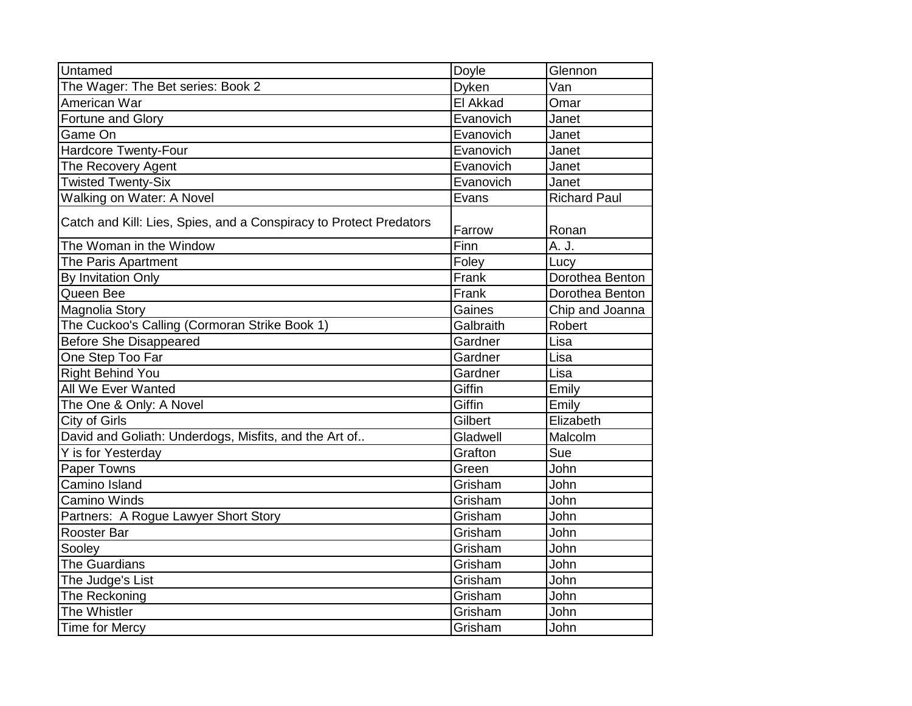| Doyle     | Glennon             |
|-----------|---------------------|
| Dyken     | Van                 |
| El Akkad  | Omar                |
| Evanovich | Janet               |
| Evanovich | Janet               |
| Evanovich | Janet               |
| Evanovich | Janet               |
| Evanovich | Janet               |
| Evans     | <b>Richard Paul</b> |
| Farrow    | Ronan               |
| Finn      | A. J.               |
| Foley     | Lucy                |
| Frank     | Dorothea Benton     |
| Frank     | Dorothea Benton     |
| Gaines    | Chip and Joanna     |
| Galbraith | Robert              |
| Gardner   | Lisa                |
| Gardner   | Lisa                |
| Gardner   | Lisa                |
| Giffin    | Emily               |
| Giffin    | Emily               |
| Gilbert   | Elizabeth           |
| Gladwell  | Malcolm             |
| Grafton   | Sue                 |
| Green     | John                |
| Grisham   | John                |
| Grisham   | John                |
| Grisham   | John                |
| Grisham   | John                |
| Grisham   | John                |
| Grisham   | John                |
| Grisham   | John                |
| Grisham   | John                |
| Grisham   | John                |
| Grisham   | John                |
|           |                     |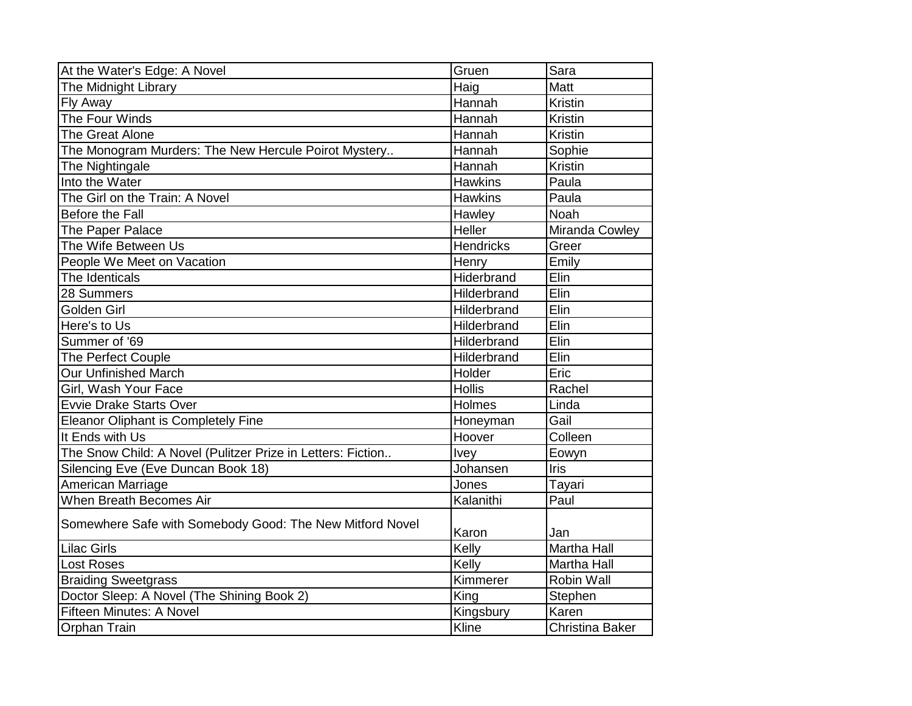| At the Water's Edge: A Novel                                | Gruen            | Sara                   |
|-------------------------------------------------------------|------------------|------------------------|
| The Midnight Library                                        | Haig             | Matt                   |
| Fly Away                                                    | Hannah           | Kristin                |
| The Four Winds                                              | Hannah           | <b>Kristin</b>         |
| The Great Alone                                             | Hannah           | <b>Kristin</b>         |
| The Monogram Murders: The New Hercule Poirot Mystery        | Hannah           | Sophie                 |
| The Nightingale                                             | Hannah           | Kristin                |
| Into the Water                                              | <b>Hawkins</b>   | Paula                  |
| The Girl on the Train: A Novel                              | <b>Hawkins</b>   | Paula                  |
| Before the Fall                                             | Hawley           | Noah                   |
| The Paper Palace                                            | Heller           | Miranda Cowley         |
| The Wife Between Us                                         | <b>Hendricks</b> | Greer                  |
| People We Meet on Vacation                                  | Henry            | Emily                  |
| The Identicals                                              | Hiderbrand       | Elin                   |
| 28 Summers                                                  | Hilderbrand      | Elin                   |
| Golden Girl                                                 | Hilderbrand      | Elin                   |
| Here's to Us                                                | Hilderbrand      | Elin                   |
| Summer of '69                                               | Hilderbrand      | Elin                   |
| The Perfect Couple                                          | Hilderbrand      | Elin                   |
| <b>Our Unfinished March</b>                                 | Holder           | Eric                   |
| Girl, Wash Your Face                                        | <b>Hollis</b>    | Rachel                 |
| <b>Evvie Drake Starts Over</b>                              | <b>Holmes</b>    | Linda                  |
| Eleanor Oliphant is Completely Fine                         | Honeyman         | Gail                   |
| It Ends with Us                                             | Hoover           | Colleen                |
| The Snow Child: A Novel (Pulitzer Prize in Letters: Fiction | <b>Ivey</b>      | Eowyn                  |
| Silencing Eve (Eve Duncan Book 18)                          | Johansen         | <b>Iris</b>            |
| American Marriage                                           | Jones            | Tayari                 |
| When Breath Becomes Air                                     | Kalanithi        | Paul                   |
| Somewhere Safe with Somebody Good: The New Mitford Novel    | Karon            | Jan                    |
| <b>Lilac Girls</b>                                          | Kelly            | <b>Martha Hall</b>     |
| <b>Lost Roses</b>                                           | Kelly            | Martha Hall            |
| <b>Braiding Sweetgrass</b>                                  | Kimmerer         | Robin Wall             |
| Doctor Sleep: A Novel (The Shining Book 2)                  | King             | Stephen                |
| <b>Fifteen Minutes: A Novel</b>                             | Kingsbury        | Karen                  |
| <b>Orphan Train</b>                                         | Kline            | <b>Christina Baker</b> |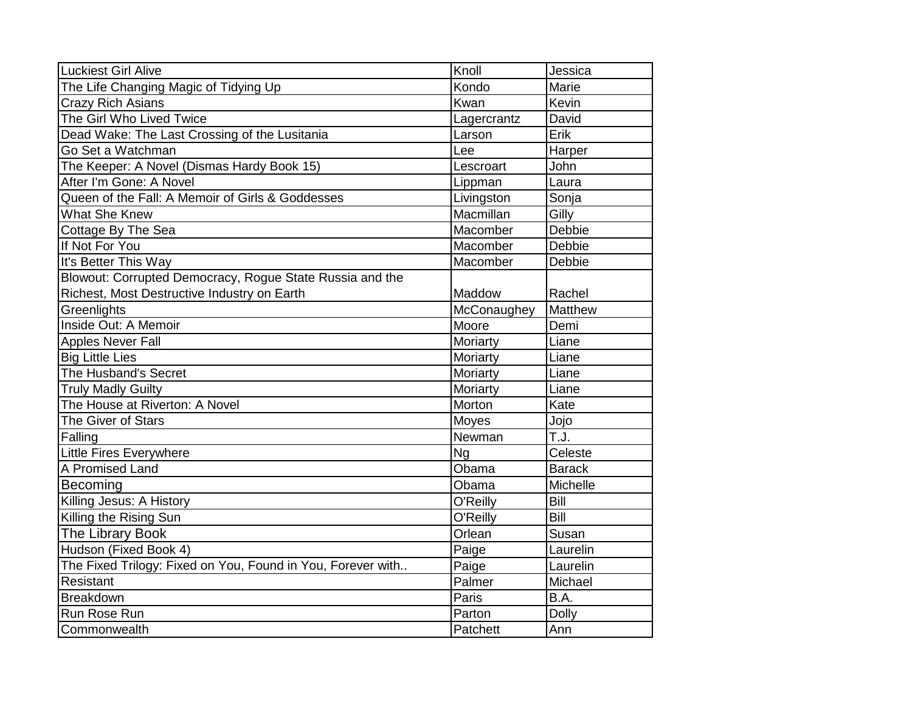| <b>Luckiest Girl Alive</b>                                  | Knoll       | Jessica        |
|-------------------------------------------------------------|-------------|----------------|
| The Life Changing Magic of Tidying Up                       | Kondo       | Marie          |
| <b>Crazy Rich Asians</b>                                    | <b>Kwan</b> | Kevin          |
| The Girl Who Lived Twice                                    | Lagercrantz | David          |
| Dead Wake: The Last Crossing of the Lusitania               | Larson      | Erik           |
| Go Set a Watchman                                           | Lee         | <b>Harper</b>  |
| The Keeper: A Novel (Dismas Hardy Book 15)                  | Lescroart   | John           |
| After I'm Gone: A Novel                                     | Lippman     | Laura          |
| Queen of the Fall: A Memoir of Girls & Goddesses            | Livingston  | Sonja          |
| <b>What She Knew</b>                                        | Macmillan   | Gilly          |
| Cottage By The Sea                                          | Macomber    | Debbie         |
| If Not For You                                              | Macomber    | Debbie         |
| It's Better This Way                                        | Macomber    | Debbie         |
| Blowout: Corrupted Democracy, Rogue State Russia and the    |             |                |
| Richest, Most Destructive Industry on Earth                 | Maddow      | Rachel         |
| Greenlights                                                 | McConaughey | <b>Matthew</b> |
| Inside Out: A Memoir                                        | Moore       | Demi           |
| Apples Never Fall                                           | Moriarty    | Liane          |
| <b>Big Little Lies</b>                                      | Moriarty    | Liane          |
| The Husband's Secret                                        | Moriarty    | Liane          |
| <b>Truly Madly Guilty</b>                                   | Moriarty    | Liane          |
| The House at Riverton: A Novel                              | Morton      | Kate           |
| The Giver of Stars                                          | Moyes       | Jojo           |
| Falling                                                     | Newman      | T.J.           |
| Little Fires Everywhere                                     | <b>Ng</b>   | Celeste        |
| A Promised Land                                             | Obama       | <b>Barack</b>  |
| Becoming                                                    | Obama       | Michelle       |
| Killing Jesus: A History                                    | O'Reilly    | Bill           |
| Killing the Rising Sun                                      | O'Reilly    | Bill           |
| The Library Book                                            | Orlean      | Susan          |
| Hudson (Fixed Book 4)                                       | Paige       | Laurelin       |
| The Fixed Trilogy: Fixed on You, Found in You, Forever with | Paige       | Laurelin       |
| Resistant                                                   | Palmer      | Michael        |
| <b>Breakdown</b>                                            | Paris       | B.A.           |
| Run Rose Run                                                | Parton      | <b>Dolly</b>   |
| Commonwealth                                                | Patchett    | Ann            |
|                                                             |             |                |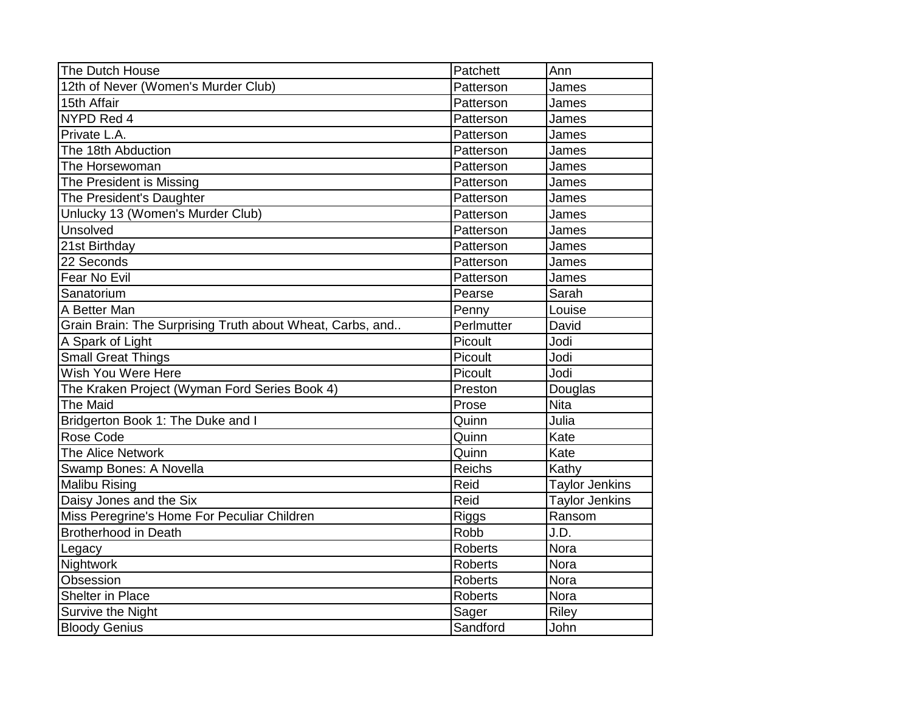| The Dutch House                                           | Patchett       | Ann                   |
|-----------------------------------------------------------|----------------|-----------------------|
| 12th of Never (Women's Murder Club)                       | Patterson      | James                 |
| 15th Affair                                               | Patterson      | James                 |
| NYPD Red 4                                                | Patterson      | James                 |
| Private L.A.                                              | Patterson      | James                 |
| The 18th Abduction                                        | Patterson      | James                 |
| The Horsewoman                                            | Patterson      | James                 |
| The President is Missing                                  | Patterson      | James                 |
| The President's Daughter                                  | Patterson      | James                 |
| Unlucky 13 (Women's Murder Club)                          | Patterson      | James                 |
| Unsolved                                                  | Patterson      | James                 |
| 21st Birthday                                             | Patterson      | James                 |
| 22 Seconds                                                | Patterson      | James                 |
| Fear No Evil                                              | Patterson      | James                 |
| Sanatorium                                                | Pearse         | Sarah                 |
| A Better Man                                              | Penny          | Louise                |
| Grain Brain: The Surprising Truth about Wheat, Carbs, and | Perlmutter     | David                 |
| A Spark of Light                                          | Picoult        | Jodi                  |
| <b>Small Great Things</b>                                 | Picoult        | Jodi                  |
| Wish You Were Here                                        | Picoult        | Jodi                  |
| The Kraken Project (Wyman Ford Series Book 4)             | Preston        | Douglas               |
| <b>The Maid</b>                                           | Prose          | <b>Nita</b>           |
| Bridgerton Book 1: The Duke and I                         | Quinn          | Julia                 |
| Rose Code                                                 | Quinn          | Kate                  |
| The Alice Network                                         | Quinn          | Kate                  |
| Swamp Bones: A Novella                                    | <b>Reichs</b>  | Kathy                 |
| <b>Malibu Rising</b>                                      | Reid           | <b>Taylor Jenkins</b> |
| Daisy Jones and the Six                                   | Reid           | <b>Taylor Jenkins</b> |
| Miss Peregrine's Home For Peculiar Children               | Riggs          | Ransom                |
| <b>Brotherhood in Death</b>                               | Robb           | J.D.                  |
| Legacy                                                    | <b>Roberts</b> | Nora                  |
| Nightwork                                                 | <b>Roberts</b> | Nora                  |
| Obsession                                                 | <b>Roberts</b> | <b>Nora</b>           |
| Shelter in Place                                          | <b>Roberts</b> | <b>Nora</b>           |
| Survive the Night                                         | Sager          | <b>Riley</b>          |
| <b>Bloody Genius</b>                                      | Sandford       | John                  |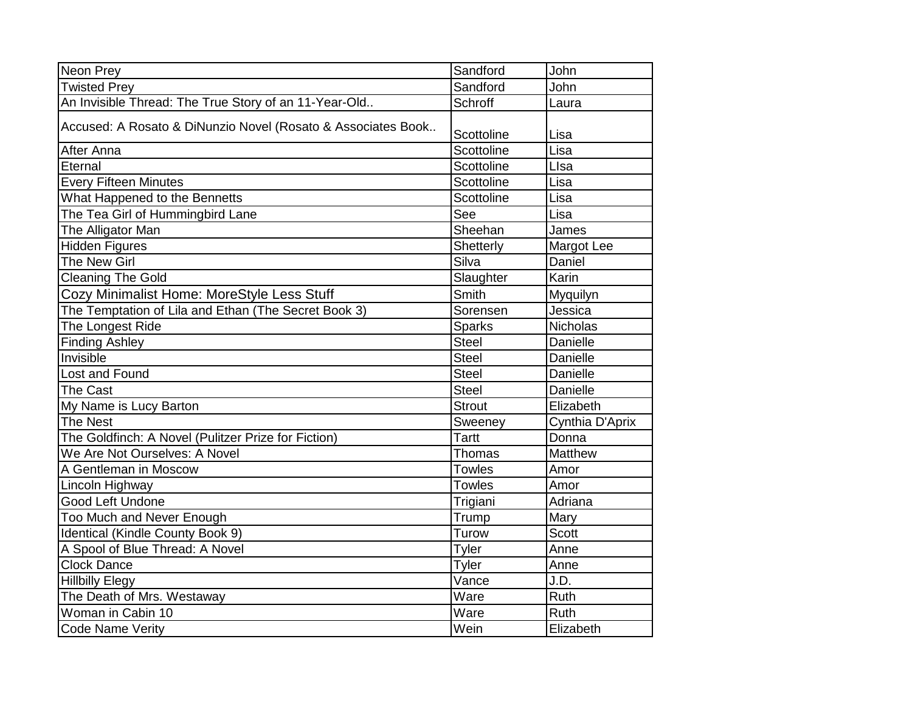| Neon Prey                                                    | Sandford      | John            |
|--------------------------------------------------------------|---------------|-----------------|
| <b>Twisted Prey</b>                                          | Sandford      | John            |
| An Invisible Thread: The True Story of an 11-Year-Old        | Schroff       | Laura           |
| Accused: A Rosato & DiNunzio Novel (Rosato & Associates Book | Scottoline    | Lisa            |
| After Anna                                                   | Scottoline    | Lisa            |
| Eternal                                                      | Scottoline    | Llsa            |
| <b>Every Fifteen Minutes</b>                                 | Scottoline    | Lisa            |
| What Happened to the Bennetts                                | Scottoline    | Lisa            |
| The Tea Girl of Hummingbird Lane                             | See           | Lisa            |
| The Alligator Man                                            | Sheehan       | James           |
| <b>Hidden Figures</b>                                        | Shetterly     | Margot Lee      |
| The New Girl                                                 | Silva         | Daniel          |
| <b>Cleaning The Gold</b>                                     | Slaughter     | Karin           |
| Cozy Minimalist Home: MoreStyle Less Stuff                   | Smith         | Myguilyn        |
| The Temptation of Lila and Ethan (The Secret Book 3)         | Sorensen      | Jessica         |
| The Longest Ride                                             | <b>Sparks</b> | <b>Nicholas</b> |
| <b>Finding Ashley</b>                                        | <b>Steel</b>  | Danielle        |
| Invisible                                                    | <b>Steel</b>  | Danielle        |
| Lost and Found                                               | <b>Steel</b>  | Danielle        |
| The Cast                                                     | <b>Steel</b>  | Danielle        |
| My Name is Lucy Barton                                       | <b>Strout</b> | Elizabeth       |
| <b>The Nest</b>                                              | Sweeney       | Cynthia D'Aprix |
| The Goldfinch: A Novel (Pulitzer Prize for Fiction)          | <b>Tartt</b>  | Donna           |
| We Are Not Ourselves: A Novel                                | Thomas        | Matthew         |
| A Gentleman in Moscow                                        | <b>Towles</b> | Amor            |
| Lincoln Highway                                              | <b>Towles</b> | Amor            |
| Good Left Undone                                             | Trigiani      | Adriana         |
| Too Much and Never Enough                                    | Trump         | Mary            |
| Identical (Kindle County Book 9)                             | Turow         | <b>Scott</b>    |
| A Spool of Blue Thread: A Novel                              | Tyler         | Anne            |
| <b>Clock Dance</b>                                           | Tyler         | Anne            |
| <b>Hillbilly Elegy</b>                                       | Vance         | J.D.            |
| The Death of Mrs. Westaway                                   | Ware          | Ruth            |
| Woman in Cabin 10                                            | Ware          | Ruth            |
| Code Name Verity                                             | Wein          | Elizabeth       |